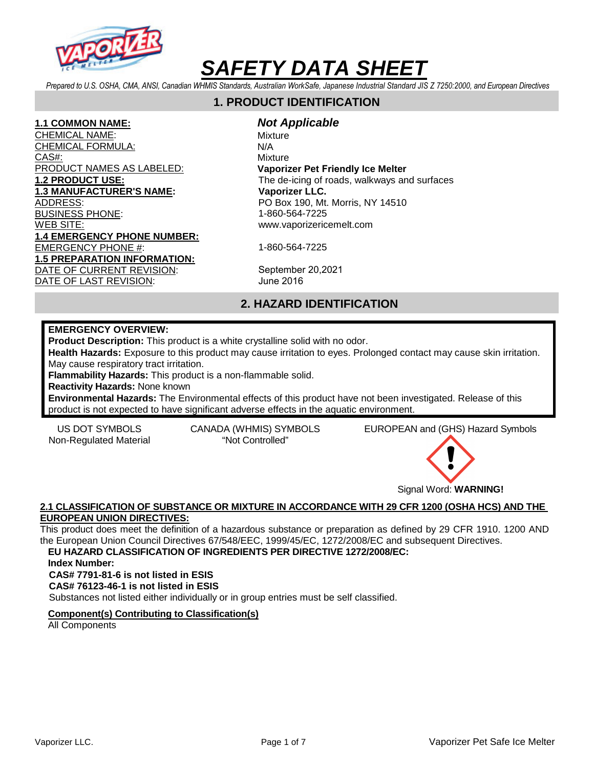

*Prepared to U.S. OSHA, CMA, ANSI, Canadian WHMIS Standards, Australian WorkSafe, Japanese Industrial Standard JIS Z 7250:2000, and European Directives* 

# **1. PRODUCT IDENTIFICATION**

#### **1.1 COMMON NAME:**

CHEMICAL NAME: CHEMICAL FORMULA: CAS#: PRODUCT NAMES AS LABELED: **1.2 PRODUCT USE: 1.3 MANUFACTURER'S NAME:**  ADDRESS: BUSINESS PHONE: WEB SITE: **1.4 EMERGENCY PHONE NUMBER:** EMERGENCY PHONE #: **1.5 PREPARATION INFORMATION:**  DATE OF CURRENT REVISION: DATE OF LAST REVISION:

**Not Applicable** Mixture N/A Mixture **Vaporizer Pet Friendly Ice Melter** The de-icing of roads, walkways and surfaces **Vaporizer LLC.**  PO Box 190, Mt. Morris, NY 14510

1-860-564-7225 www.vaporizericemelt.com

1-860-564-7225

September 20,2021 June 2016

# **2. HAZARD IDENTIFICATION**

#### **EMERGENCY OVERVIEW:**

**Product Description:** This product is a white crystalline solid with no odor.

**Health Hazards:** Exposure to this product may cause irritation to eyes. Prolonged contact may cause skin irritation. May cause respiratory tract irritation.

**Flammability Hazards:** This product is a non-flammable solid.

**Reactivity Hazards:** None known

**Environmental Hazards:** The Environmental effects of this product have not been investigated. Release of this product is not expected to have significant adverse effects in the aquatic environment.

Non-Regulated Material "Not Controlled"

US DOT SYMBOLS CANADA (WHMIS) SYMBOLS EUROPEAN and (GHS) Hazard Symbols



**2.1 CLASSIFICATION OF SUBSTANCE OR MIXTURE IN ACCORDANCE WITH 29 CFR 1200 (OSHA HCS) AND THE EUROPEAN UNION DIRECTIVES:** 

This product does meet the definition of a hazardous substance or preparation as defined by 29 CFR 1910. 1200 AND the European Union Council Directives 67/548/EEC, 1999/45/EC, 1272/2008/EC and subsequent Directives. **EU HAZARD CLASSIFICATION OF INGREDIENTS PER DIRECTIVE 1272/2008/EC:** 

**Index Number:** 

**CAS# 7791-81-6 is not listed in ESIS** 

**CAS# 76123-46-1 is not listed in ESIS** 

Substances not listed either individually or in group entries must be self classified.

#### **Component(s) Contributing to Classification(s)**

All Components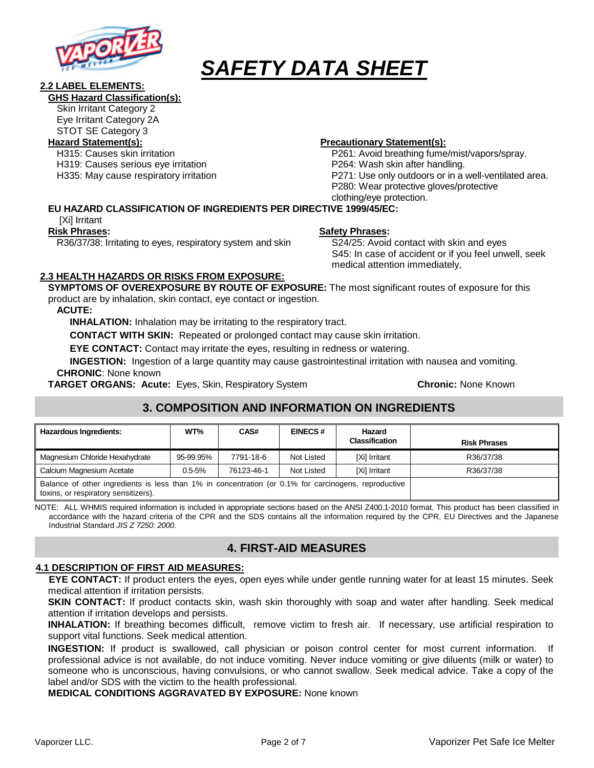

#### **2.2 LABEL ELEMENTS:**

#### **GHS Hazard Classification(s):**

Skin Irritant Category 2

Eye Irritant Category 2A STOT SE Category 3

H315: Causes skin irritation

H319: Causes serious eye irritation

H335: May cause respiratory irritation

### **Hazard Statement(s): Precautionary Statement(s):**

P261: Avoid breathing fume/mist/vapors/spray. P264: Wash skin after handling. P271: Use only outdoors or in a well-ventilated area. P280: Wear protective gloves/protective clothing/eye protection.

## **EU HAZARD CLASSIFICATION OF INGREDIENTS PER DIRECTIVE 1999/45/EC:**

[Xi] Irritant

#### **Risk Phrases:**

R36/37/38: Irritating to eyes, respiratory system and skin

# **Safety Phrases:**

S24/25: Avoid contact with skin and eyes S45: In case of accident or if you feel unwell, seek medical attention immediately,

#### **2.3 HEALTH HAZARDS OR RISKS FROM EXPOSURE:**

**SYMPTOMS OF OVEREXPOSURE BY ROUTE OF EXPOSURE:** The most significant routes of exposure for this product are by inhalation, skin contact, eye contact or ingestion.

#### **ACUTE:**

**INHALATION:** Inhalation may be irritating to the respiratory tract.

**CONTACT WITH SKIN:** Repeated or prolonged contact may cause skin irritation.

**EYE CONTACT:** Contact may irritate the eyes, resulting in redness or watering.

**INGESTION:** Ingestion of a large quantity may cause gastrointestinal irritation with nausea and vomiting. **CHRONIC**: None known

**TARGET ORGANS: Acute:** Eyes, Skin, Respiratory System **Chronic:** None Known

# **3. COMPOSITION AND INFORMATION ON INGREDIENTS**

| <b>Hazardous Ingredients:</b>                                                                                                                | WT%        | CAS#       | <b>EINECS#</b> | Hazard<br><b>Classification</b> | <b>Risk Phrases</b> |
|----------------------------------------------------------------------------------------------------------------------------------------------|------------|------------|----------------|---------------------------------|---------------------|
| Magnesium Chloride Hexahydrate                                                                                                               | 95-99.95%  | 7791-18-6  | Not Listed     | [Xi] Irritant                   | R36/37/38           |
| Calcium Magnesium Acetate                                                                                                                    | $0.5 - 5%$ | 76123-46-1 | Not Listed     | [Xi] Irritant                   | R36/37/38           |
| Balance of other ingredients is less than 1% in concentration (or 0.1% for carcinogens, reproductive<br>toxins, or respiratory sensitizers). |            |            |                |                                 |                     |

NOTE: ALL WHMIS required information is included in appropriate sections based on the ANSI Z400.1-2010 format. This product has been classified in accordance with the hazard criteria of the CPR and the SDS contains all the information required by the CPR, EU Directives and the Japanese Industrial Standard JIS Z 7250: 2000.

# **4. FIRST-AID MEASURES**

# **4.1 DESCRIPTION OF FIRST AID MEASURES:**

**EYE CONTACT:** If product enters the eyes, open eyes while under gentle running water for at least 15 minutes. Seek medical attention if irritation persists.

**SKIN CONTACT:** If product contacts skin, wash skin thoroughly with soap and water after handling. Seek medical attention if irritation develops and persists.

**INHALATION:** If breathing becomes difficult, remove victim to fresh air. If necessary, use artificial respiration to support vital functions. Seek medical attention.

**INGESTION:** If product is swallowed, call physician or poison control center for most current information. If professional advice is not available, do not induce vomiting. Never induce vomiting or give diluents (milk or water) to someone who is unconscious, having convulsions, or who cannot swallow. Seek medical advice. Take a copy of the label and/or SDS with the victim to the health professional.

**MEDICAL CONDITIONS AGGRAVATED BY EXPOSURE:** None known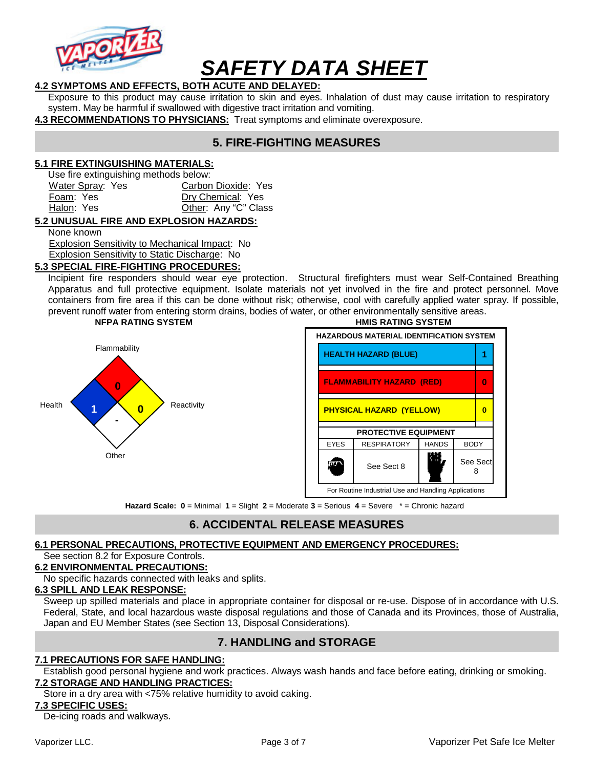

### **4.2 SYMPTOMS AND EFFECTS, BOTH ACUTE AND DELAYED:**

Exposure to this product may cause irritation to skin and eyes. Inhalation of dust may cause irritation to respiratory system. May be harmful if swallowed with digestive tract irritation and vomiting.

**4.3 RECOMMENDATIONS TO PHYSICIANS:** Treat symptoms and eliminate overexposure.

# **5. FIRE-FIGHTING MEASURES**

#### **5.1 FIRE EXTINGUISHING MATERIALS:**

Use fire extinguishing methods below:

| Carbon Dioxide: Yes  |
|----------------------|
| Dry Chemical: Yes    |
| Other: Any "C" Class |
|                      |

#### **5.2 UNUSUAL FIRE AND EXPLOSION HAZARDS:**

None known

Explosion Sensitivity to Mechanical Impact: No

#### Explosion Sensitivity to Static Discharge: No **5.3 SPECIAL FIRE-FIGHTING PROCEDURES:**

Incipient fire responders should wear eye protection. Structural firefighters must wear Self-Contained Breathing Apparatus and full protective equipment. Isolate materials not yet involved in the fire and protect personnel. Move containers from fire area if this can be done without risk; otherwise, cool with carefully applied water spray. If possible, prevent runoff water from entering storm drains, bodies of water, or other environmentally sensitive areas.





**Hazard Scale: 0** = Minimal **1** = Slight **2** = Moderate **3** = Serious **4** = Severe \* = Chronic hazard

## **6. ACCIDENTAL RELEASE MEASURES**

## **6.1 PERSONAL PRECAUTIONS, PROTECTIVE EQUIPMENT AND EMERGENCY PROCEDURES:**

### See section 8.2 for Exposure Controls.

#### **6.2 ENVIRONMENTAL PRECAUTIONS:**

No specific hazards connected with leaks and splits.

#### **6.3 SPILL AND LEAK RESPONSE:**

Sweep up spilled materials and place in appropriate container for disposal or re-use. Dispose of in accordance with U.S. Federal, State, and local hazardous waste disposal regulations and those of Canada and its Provinces, those of Australia, Japan and EU Member States (see Section 13, Disposal Considerations).

# **7. HANDLING and STORAGE**

#### **7.1 PRECAUTIONS FOR SAFE HANDLING:**

Establish good personal hygiene and work practices. Always wash hands and face before eating, drinking or smoking. **7.2 STORAGE AND HANDLING PRACTICES:**

Store in a dry area with <75% relative humidity to avoid caking.

#### **7.3 SPECIFIC USES:**

De-icing roads and walkways.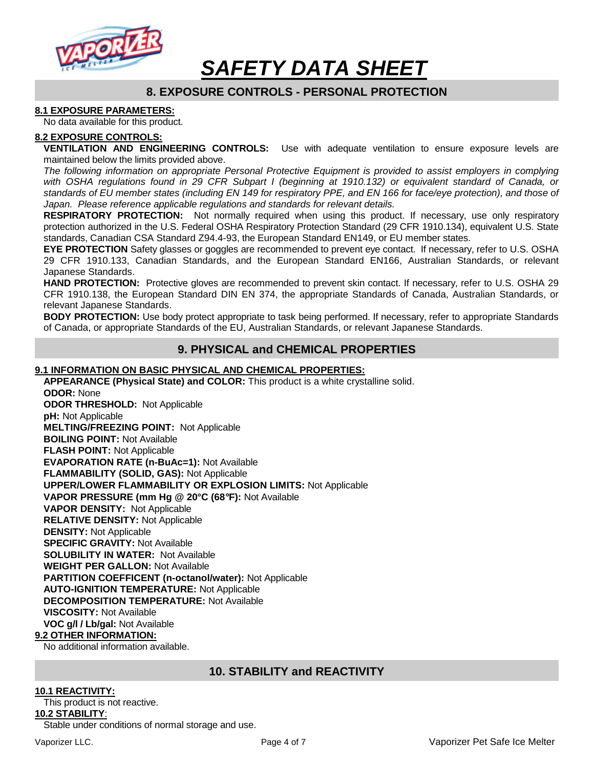

# **8. EXPOSURE CONTROLS - PERSONAL PROTECTION**

#### **8.1 EXPOSURE PARAMETERS:**

No data available for this product.

#### **8.2 EXPOSURE CONTROLS:**

**VENTILATION AND ENGINEERING CONTROLS:** Use with adequate ventilation to ensure exposure levels are maintained below the limits provided above.

The following information on appropriate Personal Protective Equipment is provided to assist employers in complying with OSHA regulations found in 29 CFR Subpart I (beginning at 1910.132) or equivalent standard of Canada, or standards of EU member states (including EN 149 for respiratory PPE, and EN 166 for face/eye protection), and those of Japan. Please reference applicable regulations and standards for relevant details.

**RESPIRATORY PROTECTION:** Not normally required when using this product. If necessary, use only respiratory protection authorized in the U.S. Federal OSHA Respiratory Protection Standard (29 CFR 1910.134), equivalent U.S. State standards, Canadian CSA Standard Z94.4-93, the European Standard EN149, or EU member states.

**EYE PROTECTION** Safety glasses or goggles are recommended to prevent eye contact. If necessary, refer to U.S. OSHA 29 CFR 1910.133, Canadian Standards, and the European Standard EN166, Australian Standards, or relevant Japanese Standards.

**HAND PROTECTION:** Protective gloves are recommended to prevent skin contact. If necessary, refer to U.S. OSHA 29 CFR 1910.138, the European Standard DIN EN 374, the appropriate Standards of Canada, Australian Standards, or relevant Japanese Standards.

**BODY PROTECTION:** Use body protect appropriate to task being performed. If necessary, refer to appropriate Standards of Canada, or appropriate Standards of the EU, Australian Standards, or relevant Japanese Standards.

## **9. PHYSICAL and CHEMICAL PROPERTIES**

#### **9.1 INFORMATION ON BASIC PHYSICAL AND CHEMICAL PROPERTIES:**

**APPEARANCE (Physical State) and COLOR:** This product is a white crystalline solid. **ODOR:** None **ODOR THRESHOLD:** Not Applicable **pH:** Not Applicable **MELTING/FREEZING POINT:** Not Applicable **BOILING POINT:** Not Available **FLASH POINT:** Not Applicable **EVAPORATION RATE (n-BuAc=1):** Not Available **FLAMMABILITY (SOLID, GAS):** Not Applicable **UPPER/LOWER FLAMMABILITY OR EXPLOSION LIMITS:** Not Applicable **VAPOR PRESSURE (mm Hg @ 20°C (68**°**F):** Not Available **VAPOR DENSITY:** Not Applicable **RELATIVE DENSITY:** Not Applicable **DENSITY:** Not Applicable **SPECIFIC GRAVITY:** Not Available **SOLUBILITY IN WATER:** Not Available **WEIGHT PER GALLON:** Not Available **PARTITION COEFFICENT (n-octanol/water):** Not Applicable **AUTO-IGNITION TEMPERATURE:** Not Applicable **DECOMPOSITION TEMPERATURE:** Not Available **VISCOSITY:** Not Available **VOC g/l / Lb/gal:** Not Available **9.2 OTHER INFORMATION:**

No additional information available.

## **10. STABILITY and REACTIVITY**

#### **10.1 REACTIVITY:**

This product is not reactive.

#### **10.2 STABILITY**:

Stable under conditions of normal storage and use.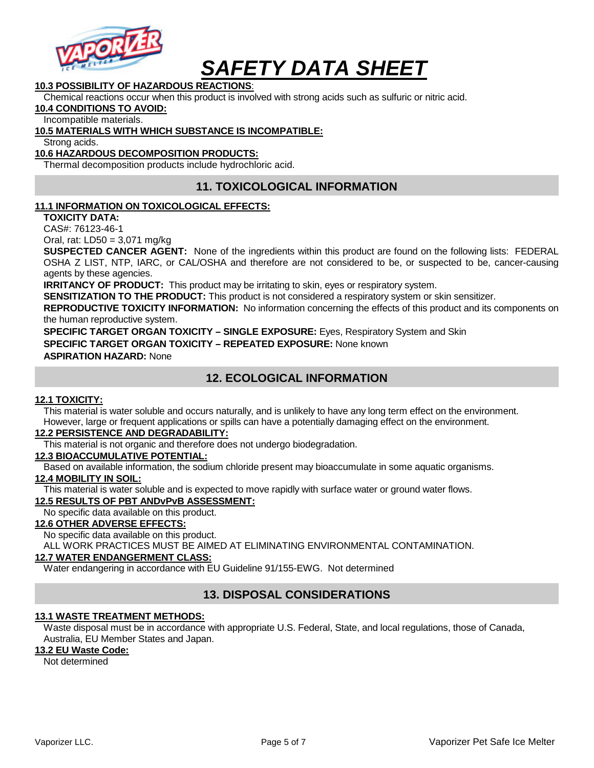

## **10.3 POSSIBILITY OF HAZARDOUS REACTIONS**:

Chemical reactions occur when this product is involved with strong acids such as sulfuric or nitric acid.

**10.4 CONDITIONS TO AVOID:**

#### Incompatible materials.

#### **10.5 MATERIALS WITH WHICH SUBSTANCE IS INCOMPATIBLE:**

Strong acids.

#### **10.6 HAZARDOUS DECOMPOSITION PRODUCTS:**

Thermal decomposition products include hydrochloric acid.

# **11. TOXICOLOGICAL INFORMATION**

#### **11.1 INFORMATION ON TOXICOLOGICAL EFFECTS:**

**TOXICITY DATA:** 

CAS#: 76123-46-1

Oral, rat: LD50 = 3,071 mg/kg

**SUSPECTED CANCER AGENT:** None of the ingredients within this product are found on the following lists: FEDERAL OSHA Z LIST, NTP, IARC, or CAL/OSHA and therefore are not considered to be, or suspected to be, cancer-causing agents by these agencies.

**IRRITANCY OF PRODUCT:** This product may be irritating to skin, eyes or respiratory system.

**SENSITIZATION TO THE PRODUCT:** This product is not considered a respiratory system or skin sensitizer.

**REPRODUCTIVE TOXICITY INFORMATION:** No information concerning the effects of this product and its components on the human reproductive system.

**SPECIFIC TARGET ORGAN TOXICITY – SINGLE EXPOSURE:** Eyes, Respiratory System and Skin

**SPECIFIC TARGET ORGAN TOXICITY – REPEATED EXPOSURE:** None known

#### **ASPIRATION HAZARD:** None

# **12. ECOLOGICAL INFORMATION**

#### **12.1 TOXICITY:**

This material is water soluble and occurs naturally, and is unlikely to have any long term effect on the environment. However, large or frequent applications or spills can have a potentially damaging effect on the environment.

#### **12.2 PERSISTENCE AND DEGRADABILITY:**

This material is not organic and therefore does not undergo biodegradation.

#### **12.3 BIOACCUMULATIVE POTENTIAL:**

Based on available information, the sodium chloride present may bioaccumulate in some aquatic organisms.

#### **12.4 MOBILITY IN SOIL:**

This material is water soluble and is expected to move rapidly with surface water or ground water flows.

#### **12.5 RESULTS OF PBT ANDvPvB ASSESSMENT:**

No specific data available on this product.

#### **12.6 OTHER ADVERSE EFFECTS:**

No specific data available on this product.

ALL WORK PRACTICES MUST BE AIMED AT ELIMINATING ENVIRONMENTAL CONTAMINATION.

### **12.7 WATER ENDANGERMENT CLASS:**

Water endangering in accordance with EU Guideline 91/155-EWG. Not determined

# **13. DISPOSAL CONSIDERATIONS**

#### **13.1 WASTE TREATMENT METHODS:**

Waste disposal must be in accordance with appropriate U.S. Federal, State, and local regulations, those of Canada, Australia, EU Member States and Japan.

#### **13.2 EU Waste Code:**

Not determined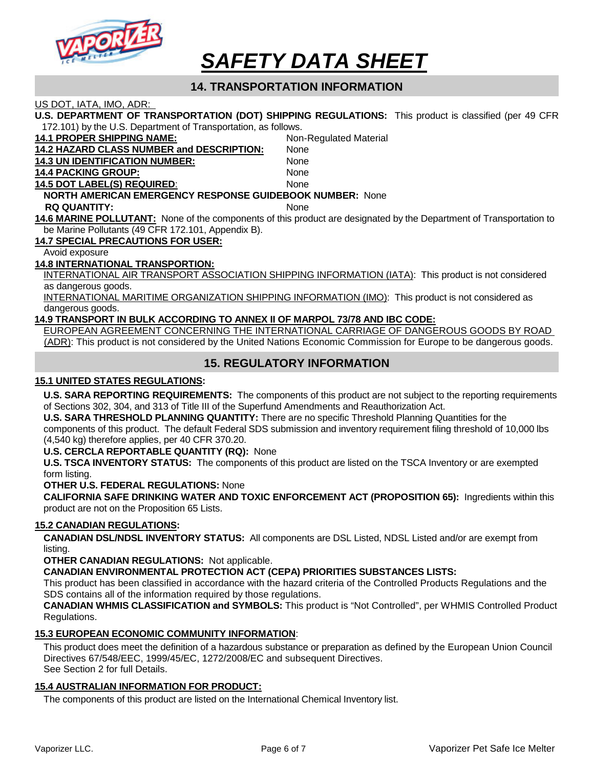

# **14. TRANSPORTATION INFORMATION**

US DOT, IATA, IMO, ADR:

**U.S. DEPARTMENT OF TRANSPORTATION (DOT) SHIPPING REGULATIONS:** This product is classified (per 49 CFR 172.101) by the U.S. Department of Transportation, as follows.

| <b>14.1 PROPER SHIPPING NAME:</b>                                               | Non-Regulated Material |  |  |  |
|---------------------------------------------------------------------------------|------------------------|--|--|--|
| 14.2 HAZARD CLASS NUMBER and DESCRIPTION:                                       | <b>None</b>            |  |  |  |
| <b>14.3 UN IDENTIFICATION NUMBER:</b>                                           | <b>None</b>            |  |  |  |
| <b>14.4 PACKING GROUP:</b>                                                      | <b>None</b>            |  |  |  |
| <b>14.5 DOT LABEL(S) REQUIRED:</b>                                              | <b>None</b>            |  |  |  |
| <b>NORTH AMERICAN EMERGENCY RESPONSE GUIDEBOOK NUMBER: None</b>                 |                        |  |  |  |
| <b>RQ QUANTITY:</b>                                                             | <b>None</b>            |  |  |  |
| 14.6 MARINE POLLUTANT: None of the components of this product are designated by |                        |  |  |  |

the Department of Transportation to be Marine Pollutants (49 CFR 172.101, Appendix B).

**14.7 SPECIAL PRECAUTIONS FOR USER:** 

#### Avoid exposure

#### **14.8 INTERNATIONAL TRANSPORTION:**

INTERNATIONAL AIR TRANSPORT ASSOCIATION SHIPPING INFORMATION (IATA): This product is not considered as dangerous goods.

INTERNATIONAL MARITIME ORGANIZATION SHIPPING INFORMATION (IMO): This product is not considered as dangerous goods.

#### **14.9 TRANSPORT IN BULK ACCORDING TO ANNEX II OF MARPOL 73/78 AND IBC CODE:**

EUROPEAN AGREEMENT CONCERNING THE INTERNATIONAL CARRIAGE OF DANGEROUS GOODS BY ROAD (ADR): This product is not considered by the United Nations Economic Commission for Europe to be dangerous goods.

## **15. REGULATORY INFORMATION**

#### **15.1 UNITED STATES REGULATIONS:**

**U.S. SARA REPORTING REQUIREMENTS:** The components of this product are not subject to the reporting requirements of Sections 302, 304, and 313 of Title III of the Superfund Amendments and Reauthorization Act.

**U.S. SARA THRESHOLD PLANNING QUANTITY:** There are no specific Threshold Planning Quantities for the components of this product. The default Federal SDS submission and inventory requirement filing threshold of 10,000 lbs (4,540 kg) therefore applies, per 40 CFR 370.20.

#### **U.S. CERCLA REPORTABLE QUANTITY (RQ):** None

**U.S. TSCA INVENTORY STATUS:** The components of this product are listed on the TSCA Inventory or are exempted form listing.

**OTHER U.S. FEDERAL REGULATIONS:** None

**CALIFORNIA SAFE DRINKING WATER AND TOXIC ENFORCEMENT ACT (PROPOSITION 65):** Ingredients within this product are not on the Proposition 65 Lists.

#### **15.2 CANADIAN REGULATIONS:**

**CANADIAN DSL/NDSL INVENTORY STATUS:** All components are DSL Listed, NDSL Listed and/or are exempt from listing.

**OTHER CANADIAN REGULATIONS:** Not applicable.

**CANADIAN ENVIRONMENTAL PROTECTION ACT (CEPA) PRIORITIES SUBSTANCES LISTS:**

This product has been classified in accordance with the hazard criteria of the Controlled Products Regulations and the SDS contains all of the information required by those regulations.

**CANADIAN WHMIS CLASSIFICATION and SYMBOLS:** This product is "Not Controlled", per WHMIS Controlled Product Regulations.

#### **15.3 EUROPEAN ECONOMIC COMMUNITY INFORMATION**:

This product does meet the definition of a hazardous substance or preparation as defined by the European Union Council Directives 67/548/EEC, 1999/45/EC, 1272/2008/EC and subsequent Directives. See Section 2 for full Details.

#### **15.4 AUSTRALIAN INFORMATION FOR PRODUCT:**

The components of this product are listed on the International Chemical Inventory list.